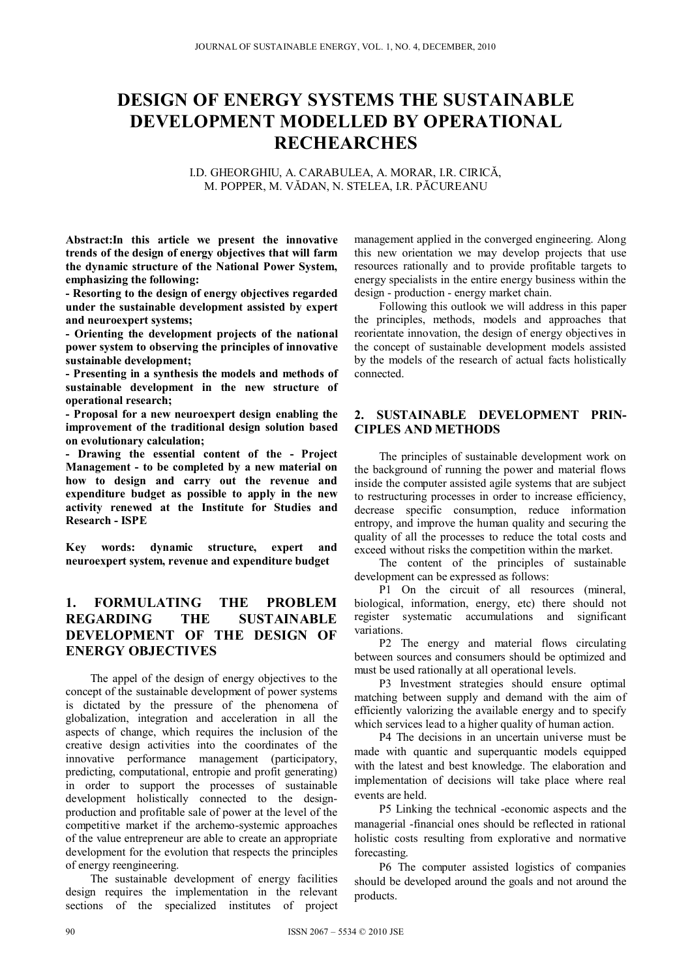# **DESIGN OF ENERGY SYSTEMS THE SUSTAINABLE DEVELOPMENT MODELLED BY OPERATIONAL RECHEARCHES**

I.D. GHEORGHIU, A. CARABULEA, A. MORAR, I.R. CIRICĂ, M. POPPER, M. VĂDAN, N. STELEA, I.R. PĂCUREANU

**Abstract:In this article we present the innovative trends of the design of energy objectives that will farm the dynamic structure of the National Power System, emphasizing the following:** 

**- Resorting to the design of energy objectives regarded under the sustainable development assisted by expert and neuroexpert systems;** 

**- Orienting the development projects of the national power system to observing the principles of innovative sustainable development;** 

**- Presenting in a synthesis the models and methods of sustainable development in the new structure of operational research;** 

**- Proposal for a new neuroexpert design enabling the improvement of the traditional design solution based on evolutionary calculation;** 

**- Drawing the essential content of the - Project Management - to be completed by a new material on how to design and carry out the revenue and expenditure budget as possible to apply in the new activity renewed at the Institute for Studies and Research - ISPE** 

**Key words: dynamic structure, expert and neuroexpert system, revenue and expenditure budget** 

# **1. FORMULATING THE PROBLEM REGARDING THE SUSTAINABLE DEVELOPMENT OF THE DESIGN OF ENERGY OBJECTIVES**

The appel of the design of energy objectives to the concept of the sustainable development of power systems is dictated by the pressure of the phenomena of globalization, integration and acceleration in all the aspects of change, which requires the inclusion of the creative design activities into the coordinates of the innovative performance management (participatory, predicting, computational, entropie and profit generating) in order to support the processes of sustainable development holistically connected to the designproduction and profitable sale of power at the level of the competitive market if the archemo-systemic approaches of the value entrepreneur are able to create an appropriate development for the evolution that respects the principles of energy reengineering.

The sustainable development of energy facilities design requires the implementation in the relevant sections of the specialized institutes of project

management applied in the converged engineering. Along this new orientation we may develop projects that use resources rationally and to provide profitable targets to energy specialists in the entire energy business within the design - production - energy market chain.

Following this outlook we will address in this paper the principles, methods, models and approaches that reorientate innovation, the design of energy objectives in the concept of sustainable development models assisted by the models of the research of actual facts holistically connected.

# **2. SUSTAINABLE DEVELOPMENT PRIN-CIPLES AND METHODS**

The principles of sustainable development work on the background of running the power and material flows inside the computer assisted agile systems that are subject to restructuring processes in order to increase efficiency, decrease specific consumption, reduce information entropy, and improve the human quality and securing the quality of all the processes to reduce the total costs and exceed without risks the competition within the market.

The content of the principles of sustainable development can be expressed as follows:

P1 On the circuit of all resources (mineral, biological, information, energy, etc) there should not register systematic accumulations and significant variations.

P2 The energy and material flows circulating between sources and consumers should be optimized and must be used rationally at all operational levels.

P3 Investment strategies should ensure optimal matching between supply and demand with the aim of efficiently valorizing the available energy and to specify which services lead to a higher quality of human action.

P4 The decisions in an uncertain universe must be made with quantic and superquantic models equipped with the latest and best knowledge. The elaboration and implementation of decisions will take place where real events are held.

P5 Linking the technical -economic aspects and the managerial -financial ones should be reflected in rational holistic costs resulting from explorative and normative forecasting.

P6 The computer assisted logistics of companies should be developed around the goals and not around the products.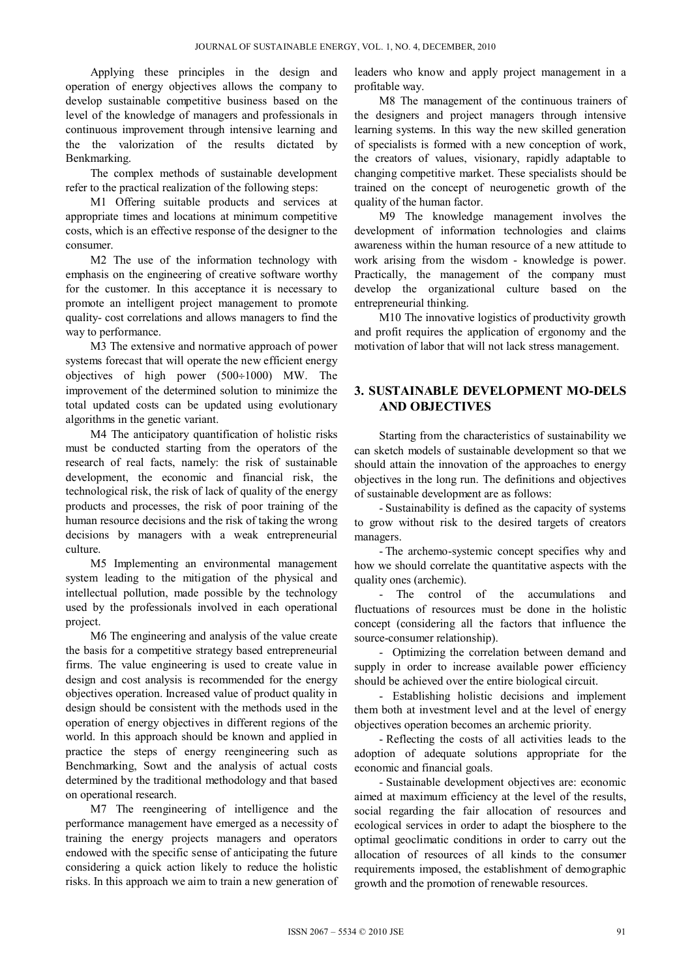Applying these principles in the design and operation of energy objectives allows the company to develop sustainable competitive business based on the level of the knowledge of managers and professionals in continuous improvement through intensive learning and the the valorization of the results dictated by Benkmarking.

The complex methods of sustainable development refer to the practical realization of the following steps:

M1 Offering suitable products and services at appropriate times and locations at minimum competitive costs, which is an effective response of the designer to the consumer.

M2 The use of the information technology with emphasis on the engineering of creative software worthy for the customer. In this acceptance it is necessary to promote an intelligent project management to promote quality- cost correlations and allows managers to find the way to performance.

M3 The extensive and normative approach of power systems forecast that will operate the new efficient energy objectives of high power  $(500\div1000)$  MW. The improvement of the determined solution to minimize the total updated costs can be updated using evolutionary algorithms in the genetic variant.

M4 The anticipatory quantification of holistic risks must be conducted starting from the operators of the research of real facts, namely: the risk of sustainable development, the economic and financial risk, the technological risk, the risk of lack of quality of the energy products and processes, the risk of poor training of the human resource decisions and the risk of taking the wrong decisions by managers with a weak entrepreneurial culture.

M5 Implementing an environmental management system leading to the mitigation of the physical and intellectual pollution, made possible by the technology used by the professionals involved in each operational project.

M6 The engineering and analysis of the value create the basis for a competitive strategy based entrepreneurial firms. The value engineering is used to create value in design and cost analysis is recommended for the energy objectives operation. Increased value of product quality in design should be consistent with the methods used in the operation of energy objectives in different regions of the world. In this approach should be known and applied in practice the steps of energy reengineering such as Benchmarking, Sowt and the analysis of actual costs determined by the traditional methodology and that based on operational research.

M7 The reengineering of intelligence and the performance management have emerged as a necessity of training the energy projects managers and operators endowed with the specific sense of anticipating the future considering a quick action likely to reduce the holistic risks. In this approach we aim to train a new generation of

leaders who know and apply project management in a profitable way.

M8 The management of the continuous trainers of the designers and project managers through intensive learning systems. In this way the new skilled generation of specialists is formed with a new conception of work, the creators of values, visionary, rapidly adaptable to changing competitive market. These specialists should be trained on the concept of neurogenetic growth of the quality of the human factor.

M9 The knowledge management involves the development of information technologies and claims awareness within the human resource of a new attitude to work arising from the wisdom - knowledge is power. Practically, the management of the company must develop the organizational culture based on the entrepreneurial thinking.

M10 The innovative logistics of productivity growth and profit requires the application of ergonomy and the motivation of labor that will not lack stress management.

# **3. SUSTAINABLE DEVELOPMENT MO-DELS AND OBJECTIVES**

Starting from the characteristics of sustainability we can sketch models of sustainable development so that we should attain the innovation of the approaches to energy objectives in the long run. The definitions and objectives of sustainable development are as follows:

- Sustainability is defined as the capacity of systems to grow without risk to the desired targets of creators managers.

- The archemo-systemic concept specifies why and how we should correlate the quantitative aspects with the quality ones (archemic).

- The control of the accumulations and fluctuations of resources must be done in the holistic concept (considering all the factors that influence the source-consumer relationship).

- Optimizing the correlation between demand and supply in order to increase available power efficiency should be achieved over the entire biological circuit.

- Establishing holistic decisions and implement them both at investment level and at the level of energy objectives operation becomes an archemic priority.

- Reflecting the costs of all activities leads to the adoption of adequate solutions appropriate for the economic and financial goals.

- Sustainable development objectives are: economic aimed at maximum efficiency at the level of the results, social regarding the fair allocation of resources and ecological services in order to adapt the biosphere to the optimal geoclimatic conditions in order to carry out the allocation of resources of all kinds to the consumer requirements imposed, the establishment of demographic growth and the promotion of renewable resources.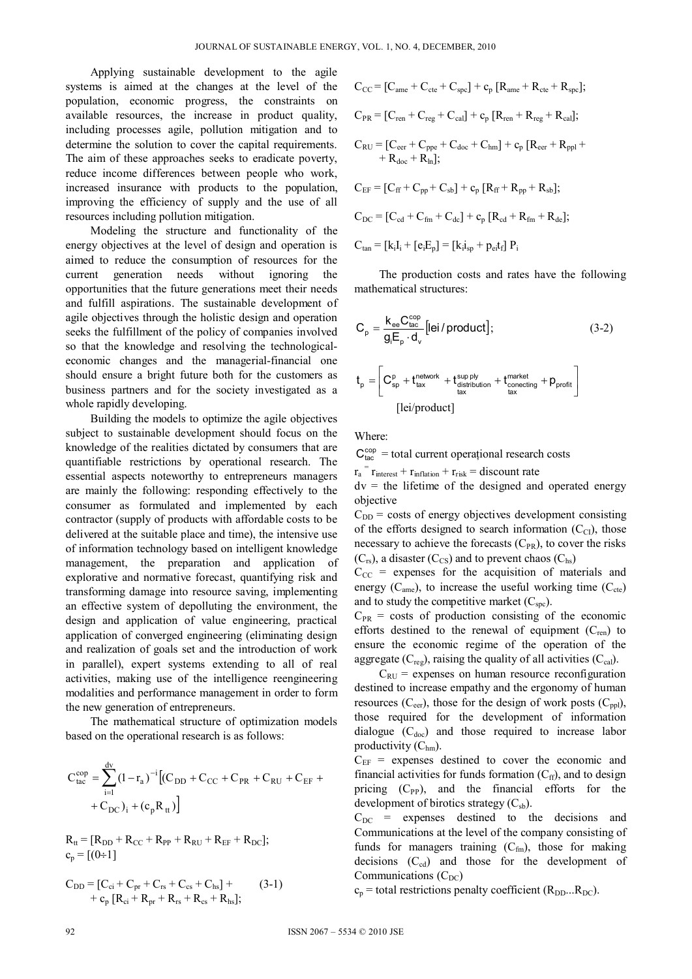Applying sustainable development to the agile systems is aimed at the changes at the level of the population, economic progress, the constraints on available resources, the increase in product quality, including processes agile, pollution mitigation and to determine the solution to cover the capital requirements. The aim of these approaches seeks to eradicate poverty, reduce income differences between people who work, increased insurance with products to the population, improving the efficiency of supply and the use of all resources including pollution mitigation.

Modeling the structure and functionality of the energy objectives at the level of design and operation is aimed to reduce the consumption of resources for the current generation needs without ignoring the opportunities that the future generations meet their needs and fulfill aspirations. The sustainable development of agile objectives through the holistic design and operation seeks the fulfillment of the policy of companies involved so that the knowledge and resolving the technologicaleconomic changes and the managerial-financial one should ensure a bright future both for the customers as business partners and for the society investigated as a whole rapidly developing.

Building the models to optimize the agile objectives subject to sustainable development should focus on the knowledge of the realities dictated by consumers that are quantifiable restrictions by operational research. The essential aspects noteworthy to entrepreneurs managers are mainly the following: responding effectively to the consumer as formulated and implemented by each contractor (supply of products with affordable costs to be delivered at the suitable place and time), the intensive use of information technology based on intelligent knowledge management, the preparation and application of explorative and normative forecast, quantifying risk and transforming damage into resource saving, implementing an effective system of depolluting the environment, the design and application of value engineering, practical application of converged engineering (eliminating design and realization of goals set and the introduction of work in parallel), expert systems extending to all of real activities, making use of the intelligence reengineering modalities and performance management in order to form the new generation of entrepreneurs.

The mathematical structure of optimization models based on the operational research is as follows:

$$
C_{tac}^{cop} = \sum_{i=1}^{dv} (1 - r_a)^{-i} [(C_{DD} + C_{CC} + C_{PR} + C_{RU} + C_{EF} + C_{DC})_i + (c_p R_{tt})]
$$

 $R_{tt} = [R_{DD} + R_{CC} + R_{PP} + R_{RU} + R_{EF} + R_{DC}];$  $c_p = [(0 \div 1]$ 

$$
C_{DD} = [C_{ci} + C_{pr} + C_{rs} + C_{cs} + C_{hs}] ++ c_p [R_{ci} + R_{pr} + R_{rs} + R_{cs} + R_{hs}];
$$
(3-1)

$$
C_{CC} = [C_{ame} + C_{cte} + C_{spc}] + c_p [R_{ame} + R_{cte} + R_{spc}];
$$
  
\n
$$
C_{PR} = [C_{ren} + C_{reg} + C_{cal}] + c_p [R_{ren} + R_{reg} + R_{cal}];
$$
  
\n
$$
C_{RU} = [C_{cer} + C_{ppe} + C_{doc} + C_{hm}] + c_p [R_{cer} + R_{pp} + R_{dot} + R_{doc} + R_{lh}];
$$
  
\n
$$
C_{EF} = [C_{ff} + C_{pp} + C_{sb}] + c_p [R_{ff} + R_{pp} + R_{sb}];
$$
  
\n
$$
C_{DC} = [C_{cd} + C_{fm} + C_{dc}] + c_p [R_{cd} + R_{fm} + R_{de}];
$$

 $C_{tan} = [k_i I_i + [e_i E_p] = [k_i I_{sp} + p_{ei} t_f] P_i$ 

 The production costs and rates have the following mathematical structures:

$$
C_{p} = \frac{k_{ee}C_{tac}^{cop}}{g_{i}E_{p} \cdot d_{v}} [lei/produced];
$$
\n
$$
t_{p} = \left[C_{sp}^{p} + t_{tax}^{network} + t_{distribution}^{sup\;py} + t_{conecting}^{market} + p_{profit}\right]
$$
\n
$$
[lei/produced]
$$
\n(3-2)

Where:

 $C_{\text{tac}}^{\text{cop}}$  = total current operational research costs

 $r_a$ <sup>=</sup>  $r_{\text{interest}} + r_{\text{inflation}} + r_{\text{risk}} =$  discount rate

 $dv =$  the lifetime of the designed and operated energy objective

 $C_{DD}$  = costs of energy objectives development consisting of the efforts designed to search information  $(C_{\text{Cl}})$ , those necessary to achieve the forecasts  $(C_{PR})$ , to cover the risks  $(C_{rs})$ , a disaster  $(C_{cs})$  and to prevent chaos  $(C_{hs})$ 

 $C_{CC}$  = expenses for the acquisition of materials and energy  $(C_{\text{ame}})$ , to increase the useful working time  $(C_{\text{cte}})$ and to study the competitive market  $(C_{\text{spc}})$ .

 $C_{PR}$  = costs of production consisting of the economic efforts destined to the renewal of equipment  $(C_{ren})$  to ensure the economic regime of the operation of the aggregate  $(C_{reg})$ , raising the quality of all activities  $(C_{cal})$ .

 $C_{\text{RU}}$  = expenses on human resource reconfiguration destined to increase empathy and the ergonomy of human resources  $(C_{\text{eer}})$ , those for the design of work posts  $(C_{\text{ppl}})$ , those required for the development of information dialogue  $(C_{doc})$  and those required to increase labor productivity  $(C<sub>hm</sub>)$ .

 $C_{EF}$  = expenses destined to cover the economic and financial activities for funds formation  $(C_{\text{ff}})$ , and to design pricing  $(C_{PP})$ , and the financial efforts for the development of birotics strategy  $(C_{sb})$ .

 $C_{DC}$  = expenses destined to the decisions and Communications at the level of the company consisting of funds for managers training  $(C<sub>fm</sub>)$ , those for making decisions  $(C_{cd})$  and those for the development of Communications  $(C_{DC})$ 

 $c_p$  = total restrictions penalty coefficient ( $R_{DD}...R_{DC}$ ).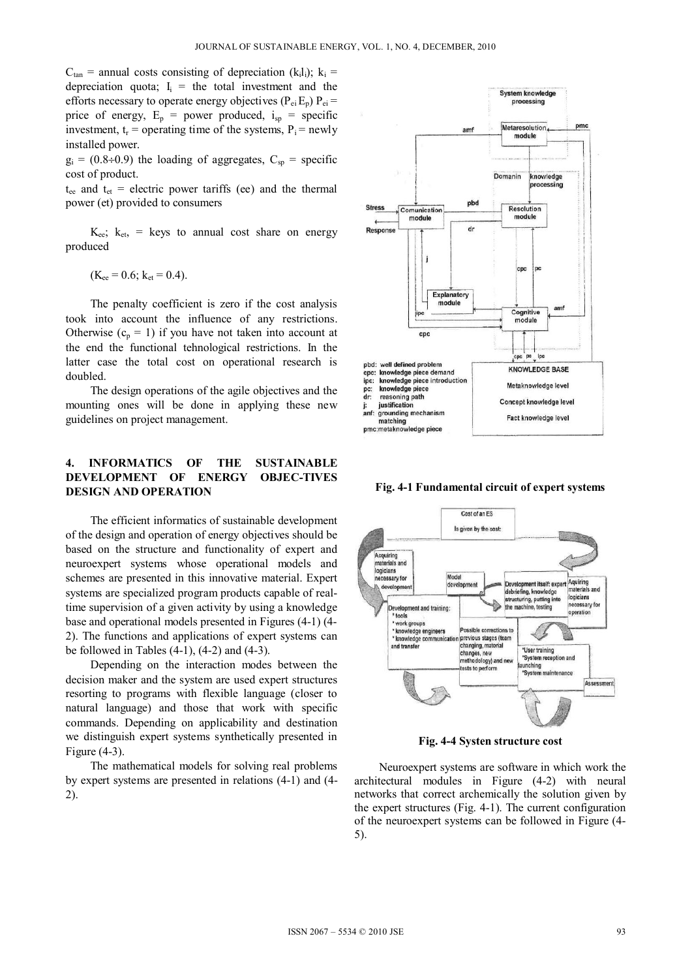$C_{tan}$  = annual costs consisting of depreciation (k<sub>i</sub>l<sub>i</sub>); k<sub>i</sub> = depreciation quota;  $I_i$  = the total investment and the efforts necessary to operate energy objectives  $(P_{ei}E_p) P_{ei}$  = price of energy,  $E_p$  = power produced,  $i_{sp}$  = specific investment,  $t_r$  = operating time of the systems,  $P_i$  = newly installed power.

 $g_i = (0.8 \div 0.9)$  the loading of aggregates,  $C_{\rm sn}$  = specific cost of product.

 $t_{ee}$  and  $t_{et}$  = electric power tariffs (ee) and the thermal power (et) provided to consumers

 $K_{ee}$ ;  $k_{et}$  = keys to annual cost share on energy produced

$$
(K_{ee} = 0.6; k_{et} = 0.4).
$$

The penalty coefficient is zero if the cost analysis took into account the influence of any restrictions. Otherwise  $(c_p = 1)$  if you have not taken into account at the end the functional tehnological restrictions. In the latter case the total cost on operational research is doubled.

The design operations of the agile objectives and the mounting ones will be done in applying these new guidelines on project management.

## **4. INFORMATICS OF THE SUSTAINABLE DEVELOPMENT OF ENERGY OBJEC-TIVES DESIGN AND OPERATION**

The efficient informatics of sustainable development of the design and operation of energy objectives should be based on the structure and functionality of expert and neuroexpert systems whose operational models and schemes are presented in this innovative material. Expert systems are specialized program products capable of realtime supervision of a given activity by using a knowledge base and operational models presented in Figures (4-1) (4- 2). The functions and applications of expert systems can be followed in Tables  $(4-1)$ ,  $(4-2)$  and  $(4-3)$ .

Depending on the interaction modes between the decision maker and the system are used expert structures resorting to programs with flexible language (closer to natural language) and those that work with specific commands. Depending on applicability and destination we distinguish expert systems synthetically presented in Figure (4-3).

 The mathematical models for solving real problems by expert systems are presented in relations (4-1) and (4- 2).



**Fig. 4-1 Fundamental circuit of expert systems** 



**Fig. 4-4 Systen structure cost** 

Neuroexpert systems are software in which work the architectural modules in Figure (4-2) with neural networks that correct archemically the solution given by the expert structures (Fig. 4-1). The current configuration of the neuroexpert systems can be followed in Figure (4- 5).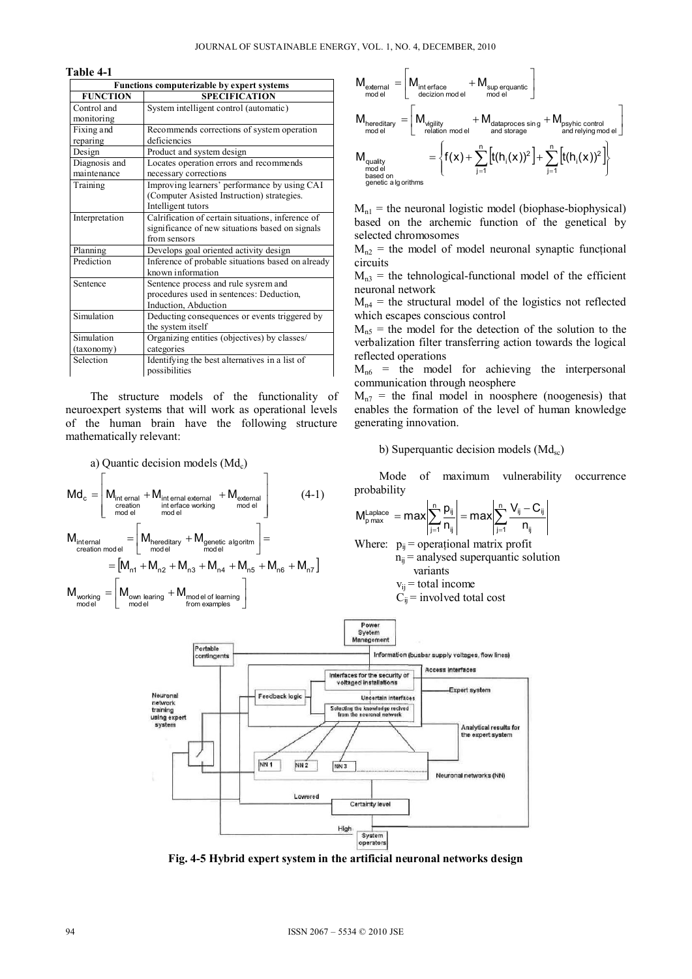#### **Table 4-1**

| Functions computerizable by expert systems |                                                   |
|--------------------------------------------|---------------------------------------------------|
| <b>FUNCTION</b>                            | <b>SPECIFICATION</b>                              |
| Control and                                | System intelligent control (automatic)            |
| monitoring                                 |                                                   |
| Fixing and                                 | Recommends corrections of system operation        |
| reparing                                   | deficiencies                                      |
| Design                                     | Product and system design                         |
| Diagnosis and                              | Locates operation errors and recommends           |
| maintenance                                | necessary corrections                             |
| Training                                   | Improving learners' performance by using CAI      |
|                                            | (Computer Asisted Instruction) strategies.        |
|                                            | Intelligent tutors                                |
| Interpretation                             | Calrification of certain situations, inference of |
|                                            | significance of new situations based on signals   |
|                                            | from sensors                                      |
| Planning                                   | Develops goal oriented activity design            |
| Prediction                                 | Inference of probable situations based on already |
|                                            | known information                                 |
| Sentence                                   | Sentence process and rule sysrem and              |
|                                            | procedures used in sentences: Deduction,          |
|                                            | Induction, Abduction                              |
| Simulation                                 | Deducting consequences or events triggered by     |
|                                            | the system itself                                 |
| Simulation                                 | Organizing entities (objectives) by classes/      |
| (taxonomy)                                 | categories                                        |
| Selection                                  | Identifying the best alternatives in a list of    |
|                                            | possibilities                                     |

The structure models of the functionality of neuroexpert systems that will work as operational levels of the human brain have the following structure mathematically relevant:

a) Quantic decision models (Md<sub>c</sub>)  
\n
$$
Md_c = \begin{bmatrix}\nM_{\text{int email}} + M_{\text{internal external}} + M_{\text{external}} \\
M_{\text{relation}} + M_{\text{internal}} + M_{\text{external}} \\
M_{\text{model}}\end{bmatrix}
$$
\n
$$
M_{\text{internal}} = \begin{bmatrix}\nM_{\text{hereditary}} + M_{\text{generic algorithm}} \\
M_{\text{model}}\end{bmatrix} = \begin{bmatrix}\nM_{\text{hreditary}} + M_{\text{model}} \\
M_{\text{model}}\end{bmatrix}
$$
\n
$$
= \begin{bmatrix}\nM_{\text{m1}} + M_{\text{n2}} + M_{\text{n3}} + M_{\text{n4}} + M_{\text{n5}} + M_{\text{n6}} + M_{\text{n7}}\n\end{bmatrix}
$$
\n
$$
M_{\text{working}} = \begin{bmatrix}\nM_{\text{own learning}} + M_{\text{model of learning}} \\
M_{\text{model}}\end{bmatrix}
$$



 $M_{nl}$  = the neuronal logistic model (biophase-biophysical) based on the archemic function of the genetical by selected chromosomes

 $M_{n2}$  = the model of model neuronal synaptic functional circuits

 $M<sub>n3</sub>$  = the tehnological-functional model of the efficient neuronal network

 $M_{n4}$  = the structural model of the logistics not reflected which escapes conscious control

 $M_{n5}$  = the model for the detection of the solution to the verbalization filter transferring action towards the logical reflected operations

 $M_{n6}$  = the model for achieving the interpersonal communication through neosphere

 $M_{n7}$  = the final model in noosphere (noogenesis) that enables the formation of the level of human knowledge generating innovation.

### b) Superquantic decision models  $(Md_{sc})$

Mode of maximum vulnerability occurrence probability

$$
M_{p\,max}^{\text{Laplace}}\ = max \Bigg\vert \sum_{j=1}^{n} \frac{p_{ij}}{n_{ij}} \Bigg\vert = max \Bigg\vert \sum_{j=1}^{n} \frac{V_{ij} - C_{ij}}{n_{ij}} \Bigg\vert
$$

Where:  $p_{ii}$  = operational matrix profit  $n_{ii}$  = analysed superquantic solution variants

$$
v_{ij}
$$
 = total income  
C<sub>ij</sub> = involved total cost



**Fig. 4-5 Hybrid expert system in the artificial neuronal networks design**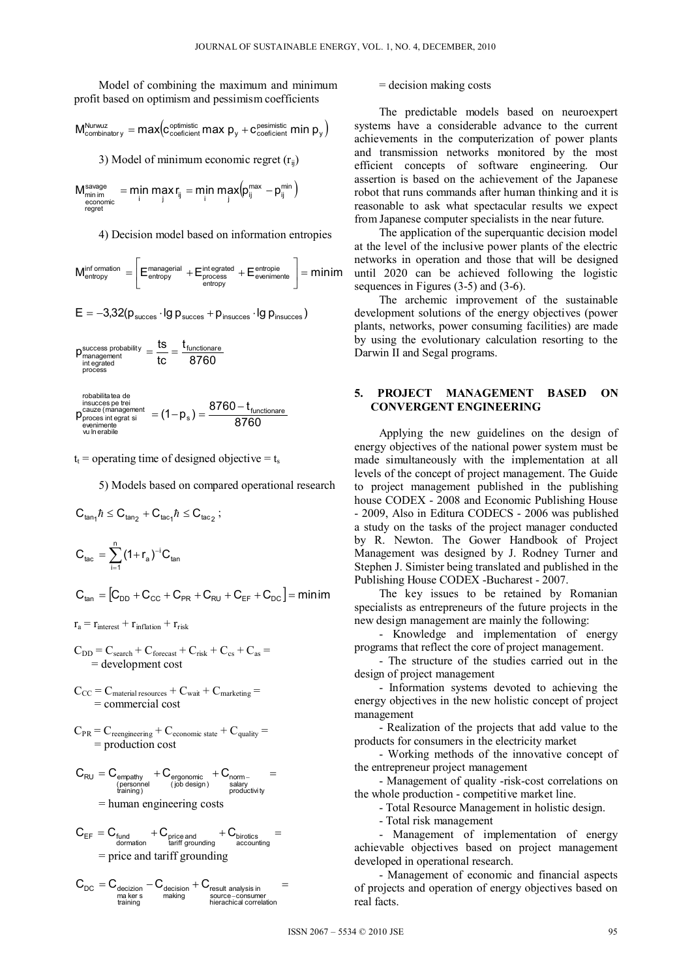Model of combining the maximum and minimum profit based on optimism and pessimism coefficients

$$
M_{\text{combinatory}}^{\text{Nurwuz}} = max \Big( c_{\text{coefficient}}^{\text{opfinite}} \max p_y + c_{\text{coefficient}}^{\text{pesimistic}} \min p_y \Big)
$$

3) Model of minimum economic regret  $(r_{ii})$ 

$$
\underset{\substack{\text{economic} \\ \text{econv} \\ \text{regret}}} {\mathsf{M}_{\text{min}}^{\text{savage}}} = \underset{i}{\text{min}}\ \underset{j}{\text{max}}\ r_{ij} = \underset{i}{\text{min}}\ \underset{j}{\text{max}}\ \underset{j}{\text{max}}\big(p_{ij}^{\text{max}}-p_{ij}^{\text{min}}\big)
$$

4) Decision model based on information entropies

$$
M_{entropy}^{inf\,ormation} = \left[ E_{entropy}^{mana \textit{gential}} + E_{process}^{int\,opt} + E_{\text{evenimente}}^{entropy} \right] = minim
$$

$$
E = -3.32(p_{success} \cdot \text{lg } p_{success} + p_{insuccess} \cdot \text{lg } p_{insuccess})
$$

$$
p_{\substack{{\text{minagement}} \\ {\text{in topeded}} \\ {\text{process}}}}^{\text{success~probability}} = \frac{ts}{tc} = \frac{t_{\text{functionare}}}{8760}
$$

detearobabilita

$$
p_{process int\,gen}^{\text{total value and use}}{p_{process int\,gen}^{\text{constant}}}= (1-p_s) = \frac{8760 - t_{\text{function}are}}{8760}
$$
\n
$$
p_{process int\,gen}^{\text{constant}}= (1-p_s) = \frac{8760 - t_{\text{function}are}}{8760}
$$

 $t_t$  = operating time of designed objective =  $t_s$ 

5) Models based on compared operational research

$$
C_{\tan_1} \hbar \leq C_{\tan_2} + C_{\tan_1} \hbar \leq C_{\tan_2} ;
$$
  

$$
C_{\tan} = \sum_{i=1}^n (1 + r_a)^{-i} C_{\tan}
$$

 $C_{\text{tan}} = [C_{\text{DD}} + C_{\text{CC}} + C_{\text{PR}} + C_{\text{RI}} + C_{\text{FE}} + C_{\text{DC}}] = \text{minimum}$ 

$$
r_a = r_{\text{interest}} + r_{\text{inflation}} + r_{\text{risk}}
$$

$$
C_{DD} = C_{search} + C_{forecast} + C_{risk} + C_{cs} + C_{as} =
$$
  
= development cost

- $C_{CC} = C_{\text{material resources}} + C_{\text{wait}} + C_{\text{marketing}} =$ = commercial cost
- $C_{PR}$  =  $C_{reenginerring}$  +  $C_{economic state}$  +  $C_{quality}$  = = production cost

$$
C_{\text{RU}} = C_{\underset{\text{trining}}{\text{empty}}} + C_{\underset{\text{(pb design)}}{\text{ergonomic}}} + C_{\underset{\text{producivity}}{\text{norm}}}= \\ \underset{\text{num}\times\text{mining}}{\overset{\text{(personel)}}{\text{lognormal}}}
$$

$$
C_{EF} = C_{\substack{\text{funded} \\ \text{domation}}} + C_{\substack{\text{price and} \\ \text{tariff grounding}}} + C_{\substack{\text{birotics} \\ \text{accounting}}} = \\
$$

$$
C_{\text{DC}} = C_{\text{decision}} - C_{\text{decision}} + C_{\text{result analysis in}} = \max_{\substack{\text{maxers} \\ \text{training}}} =
$$

= decision making costs

The predictable models based on neuroexpert systems have a considerable advance to the current achievements in the computerization of power plants and transmission networks monitored by the most efficient concepts of software engineering. Our assertion is based on the achievement of the Japanese robot that runs commands after human thinking and it is reasonable to ask what spectacular results we expect from Japanese computer specialists in the near future.

The application of the superquantic decision model at the level of the inclusive power plants of the electric networks in operation and those that will be designed until 2020 can be achieved following the logistic sequences in Figures (3-5) and (3-6).

 The archemic improvement of the sustainable development solutions of the energy objectives (power plants, networks, power consuming facilities) are made by using the evolutionary calculation resorting to the Darwin II and Segal programs.

### **5. PROJECT MANAGEMENT BASED ON CONVERGENT ENGINEERING**

Applying the new guidelines on the design of energy objectives of the national power system must be made simultaneously with the implementation at all levels of the concept of project management. The Guide to project management published in the publishing house CODEX - 2008 and Economic Publishing House - 2009, Also in Editura CODECS - 2006 was published a study on the tasks of the project manager conducted by R. Newton. The Gower Handbook of Project Management was designed by J. Rodney Turner and Stephen J. Simister being translated and published in the Publishing House CODEX -Bucharest - 2007.

The key issues to be retained by Romanian specialists as entrepreneurs of the future projects in the new design management are mainly the following:

- Knowledge and implementation of energy programs that reflect the core of project management.

- The structure of the studies carried out in the design of project management

- Information systems devoted to achieving the energy objectives in the new holistic concept of project management

- Realization of the projects that add value to the products for consumers in the electricity market

- Working methods of the innovative concept of the entrepreneur project management

- Management of quality -risk-cost correlations on the whole production - competitive market line.

- Total Resource Management in holistic design.

- Total risk management

- Management of implementation of energy achievable objectives based on project management developed in operational research.

- Management of economic and financial aspects of projects and operation of energy objectives based on real facts.